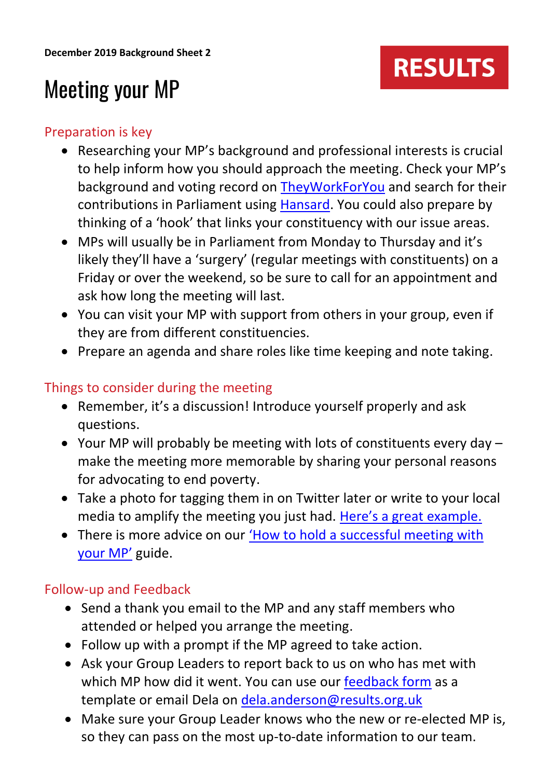# **RESULTS**

## Meeting your MP

### Preparation is key

- Researching your MP's background and professional interests is crucial to help inform how you should approach the meeting. Check your MP's background and voting record on [TheyWorkForYou](https://www.theyworkforyou.com/) and search for their contributions in Parliament using [Hansard.](https://hansard.parliament.uk/) You could also prepare by thinking of a 'hook' that links your constituency with our issue areas.
- MPs will usually be in Parliament from Monday to Thursday and it's likely they'll have a 'surgery' (regular meetings with constituents) on a Friday or over the weekend, so be sure to call for an appointment and ask how long the meeting will last.
- You can visit your MP with support from others in your group, even if they are from different constituencies.
- Prepare an agenda and share roles like time keeping and note taking.

### Things to consider during the meeting

- Remember, it's a discussion! Introduce yourself properly and ask questions.
- Your MP will probably be meeting with lots of constituents every day make the meeting more memorable by sharing your personal reasons for advocating to end poverty.
- Take a photo for tagging them in on Twitter later or write to your local media to amplify the meeting you just had. [Here's a great example.](https://www.bishopsstortfordindependent.co.uk/news/stort-valley-results-presses-for-department-for-international-development-action-on-malnutrition-9062710/)
- There is more advice on our 'How to hold a successful meeting with [your MP'](https://www.results.org.uk/sites/default/files/files/How%20to%20hold%20a%20successful%20meeting%20with%20your%20MP.pdf) guide.

## Follow-up and Feedback

- Send a thank you email to the MP and any staff members who attended or helped you arrange the meeting.
- Follow up with a prompt if the MP agreed to take action.
- Ask your Group Leaders to report back to us on who has met with which MP how did it went. You can use our **feedback form** as a template or email Dela on [dela.anderson@results.org.uk](mailto:dela.anderson@results.org.uk)
- Make sure your Group Leader knows who the new or re-elected MP is, so they can pass on the most up-to-date information to our team.